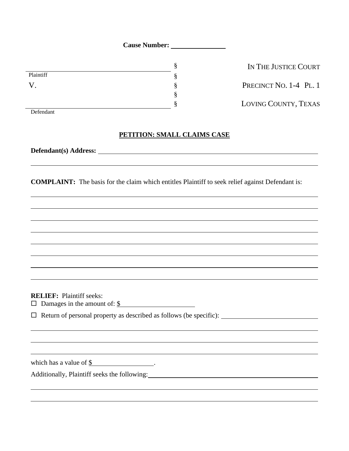**Cause Number:** 

|           | 8      |
|-----------|--------|
| Plaintiff | ი      |
|           | e<br>ş |
|           | §      |
|           | e<br>Ω |

IN THE JUSTICE COURT PRECINCT NO.  $1-4$  PL. 1 § LOVING COUNTY, TEXAS

## Defendant

## **PETITION: SMALL CLAIMS CASE**

**Defendant(s) Address:** 

**COMPLAINT:** The basis for the claim which entitles Plaintiff to seek relief against Defendant is:

**RELIEF:** Plaintiff seeks:

 $\Box$  Damages in the amount of:  $\frac{\S}{}$ 

Return of personal property as described as follows (be specific):

which has a value of  $$$ .

Additionally, Plaintiff seeks the following:<br>
<u>Additionally</u>, Plaintiff seeks the following: